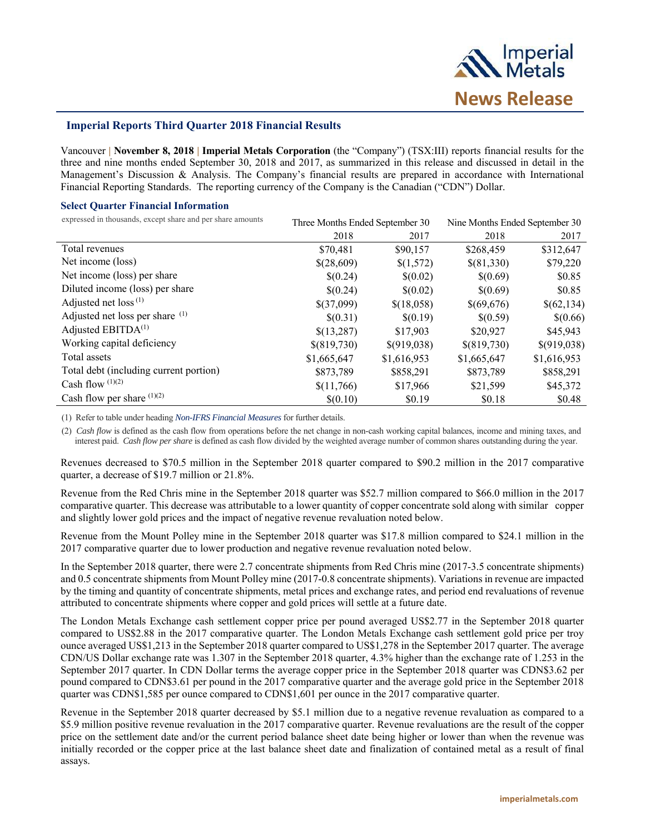

# **Imperial Reports Third Quarter 2018 Financial Results**

Vancouver **| November 8, 2018 | Imperial Metals Corporation** (the "Company") (TSX:III) reports financial results for the three and nine months ended September 30, 2018 and 2017, as summarized in this release and discussed in detail in the Management's Discussion & Analysis. The Company's financial results are prepared in accordance with International Financial Reporting Standards. The reporting currency of the Company is the Canadian ("CDN") Dollar.

#### **Select Quarter Financial Information**

expressed in thousands, except share and per share amounts Three Months Ended September 30 Nine Months Ended September 30

|                                        | THE Profiters Ended September 50 |             | THIS MORING LINGUE DEPRESSION 50 |             |
|----------------------------------------|----------------------------------|-------------|----------------------------------|-------------|
|                                        | 2018                             | 2017        | 2018                             | 2017        |
| Total revenues                         | \$70,481                         | \$90,157    | \$268,459                        | \$312,647   |
| Net income (loss)                      | \$(28,609)                       | \$(1,572)   | \$(81,330)                       | \$79,220    |
| Net income (loss) per share            | \$(0.24)                         | \$(0.02)    | \$(0.69)                         | \$0.85      |
| Diluted income (loss) per share        | \$(0.24)                         | \$(0.02)    | \$(0.69)                         | \$0.85      |
| Adjusted net $loss^{(1)}$              | \$(37,099)                       | \$(18,058)  | \$(69,676)                       | \$(62,134)  |
| Adjusted net loss per share (1)        | \$(0.31)                         | \$(0.19)    | \$(0.59)                         | \$(0.66)    |
| Adjusted EBITD $A^{(1)}$               | \$(13,287)                       | \$17,903    | \$20,927                         | \$45,943    |
| Working capital deficiency             | \$(819,730)                      | \$(919,038) | \$(819,730)                      | \$(919,038) |
| Total assets                           | \$1,665,647                      | \$1,616,953 | \$1,665,647                      | \$1,616,953 |
| Total debt (including current portion) | \$873,789                        | \$858,291   | \$873,789                        | \$858,291   |
| Cash flow $(1)(2)$                     | \$(11,766)                       | \$17,966    | \$21,599                         | \$45,372    |
| Cash flow per share $(1)(2)$           | \$(0.10)                         | \$0.19      | \$0.18                           | \$0.48      |

(1) Refer to table under heading *Non-IFRS Financial Measures* for further details.

(2) *Cash flow* is defined as the cash flow from operations before the net change in non-cash working capital balances, income and mining taxes, and interest paid. *Cash flow per share* is defined as cash flow divided by the weighted average number of common shares outstanding during the year.

Revenues decreased to \$70.5 million in the September 2018 quarter compared to \$90.2 million in the 2017 comparative quarter, a decrease of \$19.7 million or 21.8%.

Revenue from the Red Chris mine in the September 2018 quarter was \$52.7 million compared to \$66.0 million in the 2017 comparative quarter. This decrease was attributable to a lower quantity of copper concentrate sold along with similar copper and slightly lower gold prices and the impact of negative revenue revaluation noted below.

Revenue from the Mount Polley mine in the September 2018 quarter was \$17.8 million compared to \$24.1 million in the 2017 comparative quarter due to lower production and negative revenue revaluation noted below.

In the September 2018 quarter, there were 2.7 concentrate shipments from Red Chris mine (2017-3.5 concentrate shipments) and 0.5 concentrate shipments from Mount Polley mine (2017-0.8 concentrate shipments). Variations in revenue are impacted by the timing and quantity of concentrate shipments, metal prices and exchange rates, and period end revaluations of revenue attributed to concentrate shipments where copper and gold prices will settle at a future date.

The London Metals Exchange cash settlement copper price per pound averaged US\$2.77 in the September 2018 quarter compared to US\$2.88 in the 2017 comparative quarter. The London Metals Exchange cash settlement gold price per troy ounce averaged US\$1,213 in the September 2018 quarter compared to US\$1,278 in the September 2017 quarter. The average CDN/US Dollar exchange rate was 1.307 in the September 2018 quarter, 4.3% higher than the exchange rate of 1.253 in the September 2017 quarter. In CDN Dollar terms the average copper price in the September 2018 quarter was CDN\$3.62 per pound compared to CDN\$3.61 per pound in the 2017 comparative quarter and the average gold price in the September 2018 quarter was CDN\$1,585 per ounce compared to CDN\$1,601 per ounce in the 2017 comparative quarter.

Revenue in the September 2018 quarter decreased by \$5.1 million due to a negative revenue revaluation as compared to a \$5.9 million positive revenue revaluation in the 2017 comparative quarter. Revenue revaluations are the result of the copper price on the settlement date and/or the current period balance sheet date being higher or lower than when the revenue was initially recorded or the copper price at the last balance sheet date and finalization of contained metal as a result of final assays.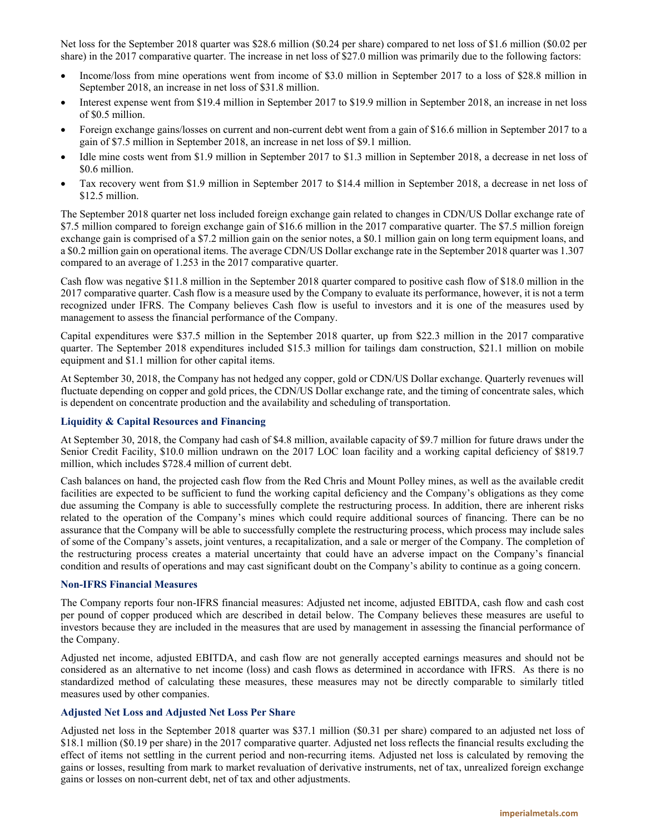Net loss for the September 2018 quarter was \$28.6 million (\$0.24 per share) compared to net loss of \$1.6 million (\$0.02 per share) in the 2017 comparative quarter. The increase in net loss of \$27.0 million was primarily due to the following factors:

- Income/loss from mine operations went from income of \$3.0 million in September 2017 to a loss of \$28.8 million in September 2018, an increase in net loss of \$31.8 million.
- Interest expense went from \$19.4 million in September 2017 to \$19.9 million in September 2018, an increase in net loss of \$0.5 million.
- Foreign exchange gains/losses on current and non-current debt went from a gain of \$16.6 million in September 2017 to a gain of \$7.5 million in September 2018, an increase in net loss of \$9.1 million.
- Idle mine costs went from \$1.9 million in September 2017 to \$1.3 million in September 2018, a decrease in net loss of \$0.6 million.
- Tax recovery went from \$1.9 million in September 2017 to \$14.4 million in September 2018, a decrease in net loss of \$12.5 million.

The September 2018 quarter net loss included foreign exchange gain related to changes in CDN/US Dollar exchange rate of \$7.5 million compared to foreign exchange gain of \$16.6 million in the 2017 comparative quarter. The \$7.5 million foreign exchange gain is comprised of a \$7.2 million gain on the senior notes, a \$0.1 million gain on long term equipment loans, and a \$0.2 million gain on operational items. The average CDN/US Dollar exchange rate in the September 2018 quarter was 1.307 compared to an average of 1.253 in the 2017 comparative quarter.

Cash flow was negative \$11.8 million in the September 2018 quarter compared to positive cash flow of \$18.0 million in the 2017 comparative quarter. Cash flow is a measure used by the Company to evaluate its performance, however, it is not a term recognized under IFRS. The Company believes Cash flow is useful to investors and it is one of the measures used by management to assess the financial performance of the Company.

Capital expenditures were \$37.5 million in the September 2018 quarter, up from \$22.3 million in the 2017 comparative quarter. The September 2018 expenditures included \$15.3 million for tailings dam construction, \$21.1 million on mobile equipment and \$1.1 million for other capital items.

At September 30, 2018, the Company has not hedged any copper, gold or CDN/US Dollar exchange. Quarterly revenues will fluctuate depending on copper and gold prices, the CDN/US Dollar exchange rate, and the timing of concentrate sales, which is dependent on concentrate production and the availability and scheduling of transportation.

# **Liquidity & Capital Resources and Financing**

At September 30, 2018, the Company had cash of \$4.8 million, available capacity of \$9.7 million for future draws under the Senior Credit Facility, \$10.0 million undrawn on the 2017 LOC loan facility and a working capital deficiency of \$819.7 million, which includes \$728.4 million of current debt.

Cash balances on hand, the projected cash flow from the Red Chris and Mount Polley mines, as well as the available credit facilities are expected to be sufficient to fund the working capital deficiency and the Company's obligations as they come due assuming the Company is able to successfully complete the restructuring process. In addition, there are inherent risks related to the operation of the Company's mines which could require additional sources of financing. There can be no assurance that the Company will be able to successfully complete the restructuring process, which process may include sales of some of the Company's assets, joint ventures, a recapitalization, and a sale or merger of the Company. The completion of the restructuring process creates a material uncertainty that could have an adverse impact on the Company's financial condition and results of operations and may cast significant doubt on the Company's ability to continue as a going concern.

## **Non-IFRS Financial Measures**

The Company reports four non-IFRS financial measures: Adjusted net income, adjusted EBITDA, cash flow and cash cost per pound of copper produced which are described in detail below. The Company believes these measures are useful to investors because they are included in the measures that are used by management in assessing the financial performance of the Company.

Adjusted net income, adjusted EBITDA, and cash flow are not generally accepted earnings measures and should not be considered as an alternative to net income (loss) and cash flows as determined in accordance with IFRS. As there is no standardized method of calculating these measures, these measures may not be directly comparable to similarly titled measures used by other companies.

## **Adjusted Net Loss and Adjusted Net Loss Per Share**

Adjusted net loss in the September 2018 quarter was \$37.1 million (\$0.31 per share) compared to an adjusted net loss of \$18.1 million (\$0.19 per share) in the 2017 comparative quarter. Adjusted net loss reflects the financial results excluding the effect of items not settling in the current period and non-recurring items. Adjusted net loss is calculated by removing the gains or losses, resulting from mark to market revaluation of derivative instruments, net of tax, unrealized foreign exchange gains or losses on non-current debt, net of tax and other adjustments.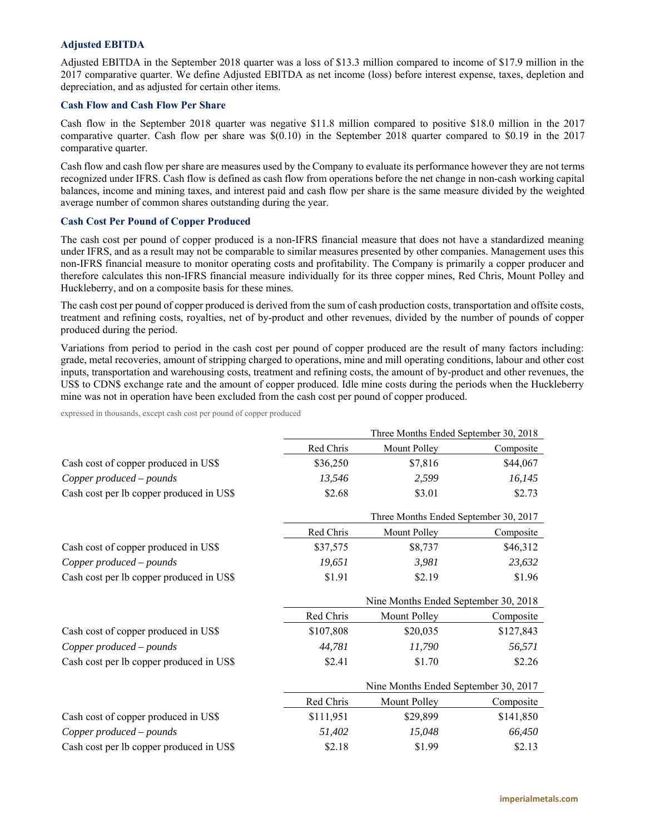## **Adjusted EBITDA**

Adjusted EBITDA in the September 2018 quarter was a loss of \$13.3 million compared to income of \$17.9 million in the 2017 comparative quarter. We define Adjusted EBITDA as net income (loss) before interest expense, taxes, depletion and depreciation, and as adjusted for certain other items.

### **Cash Flow and Cash Flow Per Share**

Cash flow in the September 2018 quarter was negative \$11.8 million compared to positive \$18.0 million in the 2017 comparative quarter. Cash flow per share was \$(0.10) in the September 2018 quarter compared to \$0.19 in the 2017 comparative quarter.

Cash flow and cash flow per share are measures used by the Company to evaluate its performance however they are not terms recognized under IFRS. Cash flow is defined as cash flow from operations before the net change in non-cash working capital balances, income and mining taxes, and interest paid and cash flow per share is the same measure divided by the weighted average number of common shares outstanding during the year.

#### **Cash Cost Per Pound of Copper Produced**

The cash cost per pound of copper produced is a non-IFRS financial measure that does not have a standardized meaning under IFRS, and as a result may not be comparable to similar measures presented by other companies. Management uses this non-IFRS financial measure to monitor operating costs and profitability. The Company is primarily a copper producer and therefore calculates this non-IFRS financial measure individually for its three copper mines, Red Chris, Mount Polley and Huckleberry, and on a composite basis for these mines.

The cash cost per pound of copper produced is derived from the sum of cash production costs, transportation and offsite costs, treatment and refining costs, royalties, net of by-product and other revenues, divided by the number of pounds of copper produced during the period.

Variations from period to period in the cash cost per pound of copper produced are the result of many factors including: grade, metal recoveries, amount of stripping charged to operations, mine and mill operating conditions, labour and other cost inputs, transportation and warehousing costs, treatment and refining costs, the amount of by-product and other revenues, the US\$ to CDN\$ exchange rate and the amount of copper produced. Idle mine costs during the periods when the Huckleberry mine was not in operation have been excluded from the cash cost per pound of copper produced.

expressed in thousands, except cash cost per pound of copper produced

|                                          | Three Months Ended September 30, 2018 |                                       |           |  |
|------------------------------------------|---------------------------------------|---------------------------------------|-----------|--|
|                                          | Red Chris                             | Mount Polley                          | Composite |  |
| Cash cost of copper produced in US\$     | \$36,250                              | \$7,816                               | \$44,067  |  |
| Copper produced - pounds                 | 13,546                                | 2,599                                 | 16,145    |  |
| Cash cost per lb copper produced in US\$ | \$2.68                                | \$3.01                                | \$2.73    |  |
|                                          |                                       | Three Months Ended September 30, 2017 |           |  |
|                                          | Red Chris                             | Mount Polley                          | Composite |  |
| Cash cost of copper produced in US\$     | \$37,575                              | \$8,737                               | \$46,312  |  |
| Copper produced - pounds                 | 19,651                                | 3,981                                 | 23,632    |  |
| Cash cost per lb copper produced in US\$ | \$1.91                                | \$2.19                                | \$1.96    |  |
|                                          |                                       | Nine Months Ended September 30, 2018  |           |  |
|                                          |                                       |                                       |           |  |
|                                          | Red Chris                             | Mount Polley                          | Composite |  |
| Cash cost of copper produced in US\$     | \$107,808                             | \$20,035                              | \$127,843 |  |
| Copper produced - pounds                 | 44,781                                | 11,790                                | 56,571    |  |
| Cash cost per lb copper produced in US\$ | \$2.41                                | \$1.70                                | \$2.26    |  |
|                                          |                                       | Nine Months Ended September 30, 2017  |           |  |
|                                          | Red Chris                             | Mount Polley                          | Composite |  |
| Cash cost of copper produced in US\$     | \$111,951                             | \$29,899                              | \$141,850 |  |
| Copper produced - pounds                 | 51,402                                | 15,048                                | 66,450    |  |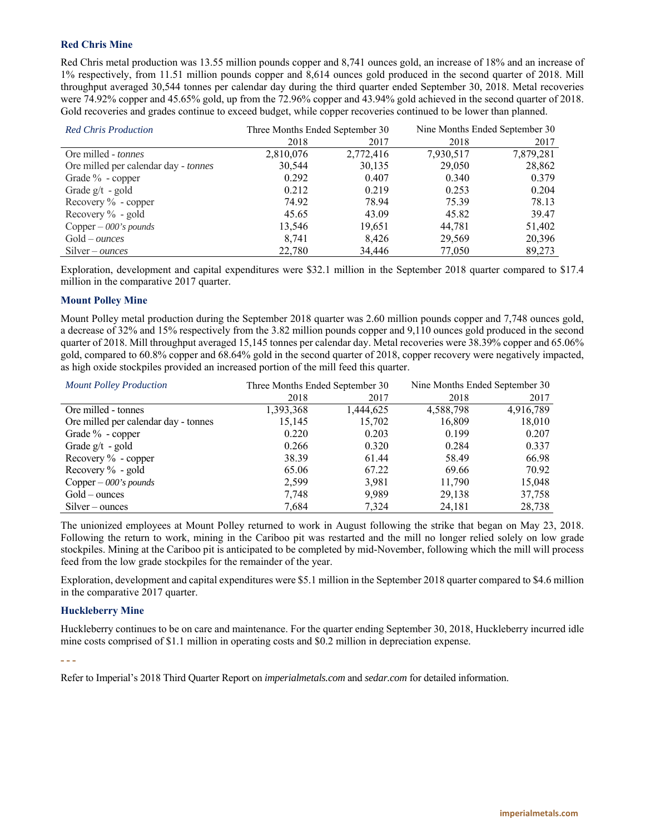# **Red Chris Mine**

Red Chris metal production was 13.55 million pounds copper and 8,741 ounces gold, an increase of 18% and an increase of 1% respectively, from 11.51 million pounds copper and 8,614 ounces gold produced in the second quarter of 2018. Mill throughput averaged 30,544 tonnes per calendar day during the third quarter ended September 30, 2018. Metal recoveries were 74.92% copper and 45.65% gold, up from the 72.96% copper and 43.94% gold achieved in the second quarter of 2018. Gold recoveries and grades continue to exceed budget, while copper recoveries continued to be lower than planned.

| <b>Red Chris Production</b>          | Three Months Ended September 30 |           | Nine Months Ended September 30 |           |
|--------------------------------------|---------------------------------|-----------|--------------------------------|-----------|
|                                      | 2018                            | 2017      | 2018                           | 2017      |
| Ore milled - <i>tonnes</i>           | 2,810,076                       | 2,772,416 | 7,930,517                      | 7,879,281 |
| Ore milled per calendar day - tonnes | 30,544                          | 30,135    | 29,050                         | 28,862    |
| Grade $\%$ - copper                  | 0.292                           | 0.407     | 0.340                          | 0.379     |
| Grade $g/t - gold$                   | 0.212                           | 0.219     | 0.253                          | 0.204     |
| Recovery $\%$ - copper               | 74.92                           | 78.94     | 75.39                          | 78.13     |
| Recovery $\%$ - gold                 | 45.65                           | 43.09     | 45.82                          | 39.47     |
| Copper $-$ 000's pounds              | 13,546                          | 19,651    | 44,781                         | 51,402    |
| $Gold-ounces$                        | 8.741                           | 8,426     | 29,569                         | 20,396    |
| $Silver-ounces$                      | 22,780                          | 34,446    | 77,050                         | 89,273    |

Exploration, development and capital expenditures were \$32.1 million in the September 2018 quarter compared to \$17.4 million in the comparative 2017 quarter.

# **Mount Polley Mine**

Mount Polley metal production during the September 2018 quarter was 2.60 million pounds copper and 7,748 ounces gold, a decrease of 32% and 15% respectively from the 3.82 million pounds copper and 9,110 ounces gold produced in the second quarter of 2018. Mill throughput averaged 15,145 tonnes per calendar day. Metal recoveries were 38.39% copper and 65.06% gold, compared to 60.8% copper and 68.64% gold in the second quarter of 2018, copper recovery were negatively impacted, as high oxide stockpiles provided an increased portion of the mill feed this quarter.

| <b>Mount Polley Production</b>       | Three Months Ended September 30 |           | Nine Months Ended September 30 |           |
|--------------------------------------|---------------------------------|-----------|--------------------------------|-----------|
|                                      | 2018                            | 2017      | 2018                           | 2017      |
| Ore milled - tonnes                  | 1,393,368                       | 1,444,625 | 4,588,798                      | 4,916,789 |
| Ore milled per calendar day - tonnes | 15,145                          | 15,702    | 16,809                         | 18,010    |
| Grade % - copper                     | 0.220                           | 0.203     | 0.199                          | 0.207     |
| Grade $g/t - gold$                   | 0.266                           | 0.320     | 0.284                          | 0.337     |
| Recovery $\%$ - copper               | 38.39                           | 61.44     | 58.49                          | 66.98     |
| Recovery $\%$ - gold                 | 65.06                           | 67.22     | 69.66                          | 70.92     |
| Copper $-000$ 's pounds              | 2.599                           | 3,981     | 11,790                         | 15,048    |
| $Gold-$ ounces                       | 7,748                           | 9,989     | 29,138                         | 37,758    |
| $Silver-ounces$                      | 7.684                           | 7.324     | 24,181                         | 28,738    |

The unionized employees at Mount Polley returned to work in August following the strike that began on May 23, 2018. Following the return to work, mining in the Cariboo pit was restarted and the mill no longer relied solely on low grade stockpiles. Mining at the Cariboo pit is anticipated to be completed by mid-November, following which the mill will process feed from the low grade stockpiles for the remainder of the year.

Exploration, development and capital expenditures were \$5.1 million in the September 2018 quarter compared to \$4.6 million in the comparative 2017 quarter.

# **Huckleberry Mine**

Huckleberry continues to be on care and maintenance. For the quarter ending September 30, 2018, Huckleberry incurred idle mine costs comprised of \$1.1 million in operating costs and \$0.2 million in depreciation expense.

**- - -** 

Refer to Imperial's 2018 Third Quarter Report on *imperialmetals.com* and *sedar.com* for detailed information.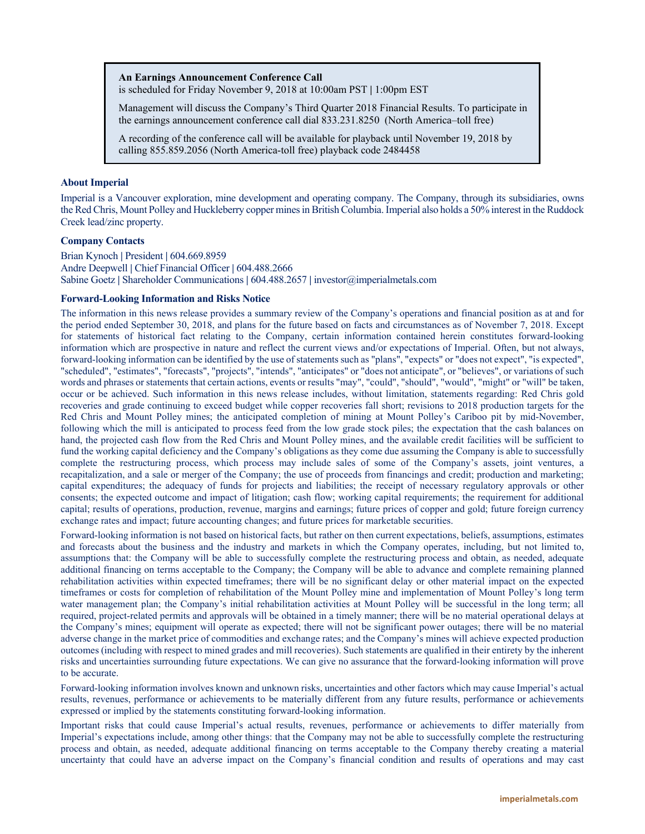#### **An Earnings Announcement Conference Call**

is scheduled for Friday November 9, 2018 at 10:00am PST **|** 1:00pm EST

Management will discuss the Company's Third Quarter 2018 Financial Results. To participate in the earnings announcement conference call dial 833.231.8250 (North America–toll free)

A recording of the conference call will be available for playback until November 19, 2018 by calling 855.859.2056 (North America-toll free) playback code 2484458

## **About Imperial**

Imperial is a Vancouver exploration, mine development and operating company. The Company, through its subsidiaries, owns the Red Chris, Mount Polley and Huckleberry copper mines in British Columbia. Imperial also holds a 50% interest in the Ruddock Creek lead/zinc property.

### **Company Contacts**

Brian Kynoch **|** President **|** 604.669.8959 Andre Deepwell **|** Chief Financial Officer **|** 604.488.2666 Sabine Goetz **|** Shareholder Communications **|** 604.488.2657 **|** investor@imperialmetals.com

### **Forward-Looking Information and Risks Notice**

The information in this news release provides a summary review of the Company's operations and financial position as at and for the period ended September 30, 2018, and plans for the future based on facts and circumstances as of November 7, 2018. Except for statements of historical fact relating to the Company, certain information contained herein constitutes forward-looking information which are prospective in nature and reflect the current views and/or expectations of Imperial. Often, but not always, forward-looking information can be identified by the use of statements such as "plans", "expects" or "does not expect", "is expected", "scheduled", "estimates", "forecasts", "projects", "intends", "anticipates" or "does not anticipate", or "believes", or variations of such words and phrases or statements that certain actions, events or results "may", "could", "should", "would", "might" or "will" be taken, occur or be achieved. Such information in this news release includes, without limitation, statements regarding: Red Chris gold recoveries and grade continuing to exceed budget while copper recoveries fall short; revisions to 2018 production targets for the Red Chris and Mount Polley mines; the anticipated completion of mining at Mount Polley's Cariboo pit by mid-November, following which the mill is anticipated to process feed from the low grade stock piles; the expectation that the cash balances on hand, the projected cash flow from the Red Chris and Mount Polley mines, and the available credit facilities will be sufficient to fund the working capital deficiency and the Company's obligations as they come due assuming the Company is able to successfully complete the restructuring process, which process may include sales of some of the Company's assets, joint ventures, a recapitalization, and a sale or merger of the Company; the use of proceeds from financings and credit; production and marketing; capital expenditures; the adequacy of funds for projects and liabilities; the receipt of necessary regulatory approvals or other consents; the expected outcome and impact of litigation; cash flow; working capital requirements; the requirement for additional capital; results of operations, production, revenue, margins and earnings; future prices of copper and gold; future foreign currency exchange rates and impact; future accounting changes; and future prices for marketable securities.

Forward-looking information is not based on historical facts, but rather on then current expectations, beliefs, assumptions, estimates and forecasts about the business and the industry and markets in which the Company operates, including, but not limited to, assumptions that: the Company will be able to successfully complete the restructuring process and obtain, as needed, adequate additional financing on terms acceptable to the Company; the Company will be able to advance and complete remaining planned rehabilitation activities within expected timeframes; there will be no significant delay or other material impact on the expected timeframes or costs for completion of rehabilitation of the Mount Polley mine and implementation of Mount Polley's long term water management plan; the Company's initial rehabilitation activities at Mount Polley will be successful in the long term; all required, project-related permits and approvals will be obtained in a timely manner; there will be no material operational delays at the Company's mines; equipment will operate as expected; there will not be significant power outages; there will be no material adverse change in the market price of commodities and exchange rates; and the Company's mines will achieve expected production outcomes (including with respect to mined grades and mill recoveries). Such statements are qualified in their entirety by the inherent risks and uncertainties surrounding future expectations. We can give no assurance that the forward-looking information will prove to be accurate.

Forward-looking information involves known and unknown risks, uncertainties and other factors which may cause Imperial's actual results, revenues, performance or achievements to be materially different from any future results, performance or achievements expressed or implied by the statements constituting forward-looking information.

Important risks that could cause Imperial's actual results, revenues, performance or achievements to differ materially from Imperial's expectations include, among other things: that the Company may not be able to successfully complete the restructuring process and obtain, as needed, adequate additional financing on terms acceptable to the Company thereby creating a material uncertainty that could have an adverse impact on the Company's financial condition and results of operations and may cast